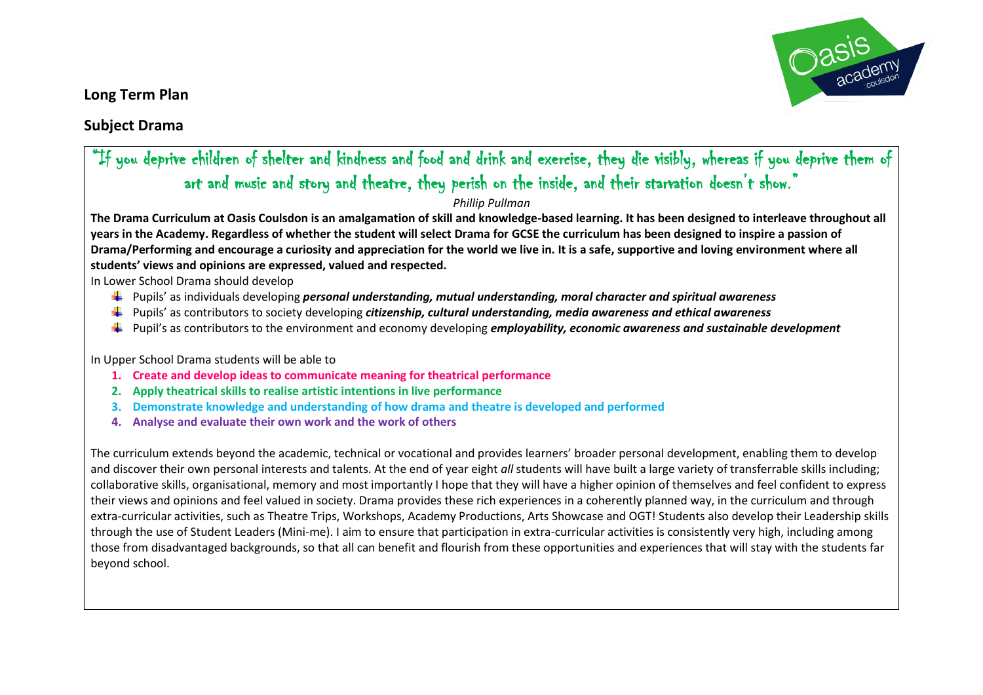**Long Term Plan**



## **Subject Drama**

## "If you deprive children of shelter and kindness and food and drink and exercise, they die visibly, whereas if you deprive them of art and music and story and theatre, they perish on the inside, and their starvation doesn't show."

## *Phillip Pullman*

**The Drama Curriculum at Oasis Coulsdon is an amalgamation of skill and knowledge-based learning. It has been designed to interleave throughout all years in the Academy. Regardless of whether the student will select Drama for GCSE the curriculum has been designed to inspire a passion of Drama/Performing and encourage a curiosity and appreciation for the world we live in. It is a safe, supportive and loving environment where all students' views and opinions are expressed, valued and respected.** 

In Lower School Drama should develop

- Pupils' as individuals developing *personal understanding, mutual understanding, moral character and spiritual awareness*
- Pupils' as contributors to society developing *citizenship, cultural understanding, media awareness and ethical awareness*
- Pupil's as contributors to the environment and economy developing *employability, economic awareness and sustainable development*

In Upper School Drama students will be able to

- **1. Create and develop ideas to communicate meaning for theatrical performance**
- **2. Apply theatrical skills to realise artistic intentions in live performance**
- **3. Demonstrate knowledge and understanding of how drama and theatre is developed and performed**
- **4. Analyse and evaluate their own work and the work of others**

The curriculum extends beyond the academic, technical or vocational and provides learners' broader personal development, enabling them to develop and discover their own personal interests and talents. At the end of year eight *all* students will have built a large variety of transferrable skills including; collaborative skills, organisational, memory and most importantly I hope that they will have a higher opinion of themselves and feel confident to express their views and opinions and feel valued in society. Drama provides these rich experiences in a coherently planned way, in the curriculum and through extra-curricular activities, such as Theatre Trips, Workshops, Academy Productions, Arts Showcase and OGT! Students also develop their Leadership skills through the use of Student Leaders (Mini-me). I aim to ensure that participation in extra-curricular activities is consistently very high, including among those from disadvantaged backgrounds, so that all can benefit and flourish from these opportunities and experiences that will stay with the students far beyond school.